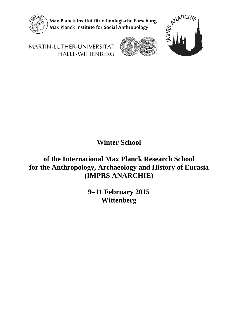

Max-Planck-Institut für ethnologische Forschung Max Planck Institute for Social Anthropology



MARTIN-LUTHER-UNIVERSITÄT **HALLE-WITTENBERG** 

**Winter School**

**of the International Max Planck Research School for the Anthropology, Archaeology and History of Eurasia (IMPRS ANARCHIE)**

> **9–11 February 2015 Wittenberg**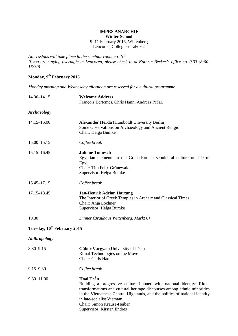#### **IMPRS ANARCHIE Winter School**

#### 9–11 February 2015, Wittenberg Leucorea, Collegienstraße 62

*All sessions will take place in the seminar room no. 10. If you are staying overnight at Leucorea, please check in at Kathrin Becker's office no. 0.33 (8:00- 16:30)*

# **Monday, 9th February 2015**

*Monday morning and Wednesday afternoon are reserved for a cultural programme*

| 14.00-14.15                             | <b>Welcome Address</b><br>François Bertemes, Chris Hann, Andreas Pečar,                                                                                                                                                                                                                                                              |
|-----------------------------------------|--------------------------------------------------------------------------------------------------------------------------------------------------------------------------------------------------------------------------------------------------------------------------------------------------------------------------------------|
| <b>Archaeology</b>                      |                                                                                                                                                                                                                                                                                                                                      |
| 14.15-15.00                             | <b>Alexander Herda</b> (Humboldt University Berlin)<br>Some Observations on Archaeology and Ancient Religion<br>Chair: Helga Bumke                                                                                                                                                                                                   |
| 15.00 - 15.15                           | Coffee break                                                                                                                                                                                                                                                                                                                         |
| $15.15 - 16.45$                         | <b>Juliane Tomesch</b><br>Egyptian elements in the Greco-Roman sepulchral culture outside of<br>Egypt<br>Chair: Tim Felix Grünewald<br>Supervisor: Helga Bumke                                                                                                                                                                       |
| $16.45 - 17.15$                         | Coffee break                                                                                                                                                                                                                                                                                                                         |
| 17.15-18.45                             | <b>Jan-Henrik Adrian Hartung</b><br>The Interior of Greek Temples in Archaic and Classical Times<br>Chair: Anja Lochner<br>Supervisor: Helga Bumke                                                                                                                                                                                   |
| 19.30                                   | Dinner (Brauhaus Wittenberg, Markt 6)                                                                                                                                                                                                                                                                                                |
| Tuesday, 10 <sup>th</sup> February 2015 |                                                                                                                                                                                                                                                                                                                                      |
| <b>Anthropology</b>                     |                                                                                                                                                                                                                                                                                                                                      |
| $8.30 - 9.15$                           | Gábor Vargyas (University of Pécs)<br>Ritual Technologies on the Move<br>Chair: Chris Hann                                                                                                                                                                                                                                           |
| $9.15 - 9.30$                           | Coffee break                                                                                                                                                                                                                                                                                                                         |
| $9.30 - 11.00$                          | Hoài Trần<br>Building a progressive culture imbued with national identity: Ritual<br>transformations and cultural heritage discourses among ethnic minorities<br>in the Vietnamese Central Highlands, and the politics of national identity<br>in late-socialist Vietnam<br>Chair: Simon Krause-Heiber<br>Supervisor: Kirsten Endres |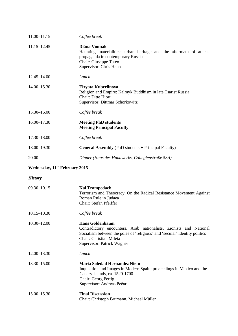| 11.00-11.15                               | Coffee break                                                                                                                                                                                                                        |
|-------------------------------------------|-------------------------------------------------------------------------------------------------------------------------------------------------------------------------------------------------------------------------------------|
| 11.15–12.45                               | Diána Vonnák<br>Haunting materialities: urban heritage and the aftermath of atheist<br>propaganda in contemporary Russia<br>Chair: Giuseppe Tateo<br>Supervisor: Chris Hann                                                         |
| 12.45-14.00                               | Lunch                                                                                                                                                                                                                               |
| 14.00-15.30                               | Elzyata Kuberlinova<br>Religion and Empire: Kalmyk Buddhism in late Tsarist Russia<br>Chair: Ditte Hiort<br>Supervisor: Dittmar Schorkowitz                                                                                         |
| 15.30-16.00                               | Coffee break                                                                                                                                                                                                                        |
| 16.00-17.30                               | <b>Meeting PhD students</b><br><b>Meeting Principal Faculty</b>                                                                                                                                                                     |
| 17.30-18.00                               | Coffee break                                                                                                                                                                                                                        |
| 18.00-19.30                               | <b>General Assembly</b> (PhD students + Principal Faculty)                                                                                                                                                                          |
| 20.00                                     | Dinner (Haus des Handwerks, Collegienstraße 53A)                                                                                                                                                                                    |
| Wednesday, 11 <sup>th</sup> February 2015 |                                                                                                                                                                                                                                     |
| <b>History</b>                            |                                                                                                                                                                                                                                     |
| 09.30-10.15                               | Kai Trampedach<br>Terrorism and Theocracy. On the Radical Resistance Movement Against<br>Roman Rule in Judaea<br>Chair: Stefan Pfeiffer                                                                                             |
| $10.15 - 10.30$                           | Coffee break                                                                                                                                                                                                                        |
| $10.30 - 12.00$                           | <b>Hans Goldenbaum</b><br>Contradictory encounters. Arab nationalists, Zionists and National<br>Socialism between the poles of 'religious' and 'secular' identity politics<br>Chair: Christian Mileta<br>Supervisor: Patrick Wagner |
| 12.00-13.30                               | Lunch                                                                                                                                                                                                                               |
| 13.30-15.00                               | <b>Maria Soledad Hernández Nieto</b><br>Inquisition and Images in Modern Spain: proceedings in Mexico and the<br>Canary Islands, ca. 1520-1700<br>Chair: Georg Fertig<br>Supervisor: Andreas Pečar                                  |
| 15.00-15.30                               | <b>Final Discussion</b><br>Chair: Christoph Brumann, Michael Müller                                                                                                                                                                 |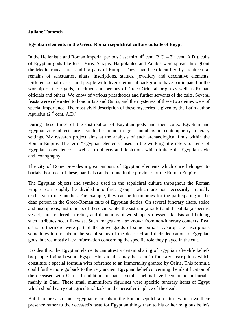#### **Juliane Tomesch**

#### **Egyptian elements in the Greco-Roman sepulchral culture outside of Egypt**

In the Hellenistic and Roman Imperial periods (last third  $4<sup>th</sup>$  cent. B.C. –  $3<sup>rd</sup>$  cent. A.D.), cults of Egyptian gods like Isis, Osiris, Sarapis, Harpokrates and Anubis were spread throughout the Mediterranean area and big parts of Europe. They have been identified by architectural remains of sanctuaries, altars, inscriptions, statues, jewellery and decorative elements. Different social classes and people with diverse ethnical background have participated in the worship of these gods, freedmen and persons of Greco-Oriental origin as well as Roman officials and others. We know of various priesthoods and further servants of the cults. Several feasts were celebrated to honour Isis and Osiris, and the mysteries of these two deities were of special importance. The most vivid description of these mysteries is given by the Latin author Apuleius  $(2<sup>nd</sup>$  cent. A.D.).

During these times of the distribution of Egyptian gods and their cults, Egyptian and Egyptianizing objects are also to be found in great numbers in contemporary funerary settings. My research project aims at the analysis of such archaeological finds within the Roman Empire. The term "Egyptian elements" used in the working title refers to items of Egyptian provenience as well as to objects and depictions which imitate the Egyptian style and iconography.

The city of Rome provides a great amount of Egyptian elements which once belonged to burials. For most of these, parallels can be found in the provinces of the Roman Empire.

The Egyptian objects and symbols used in the sepulchral culture throughout the Roman Empire can roughly be divided into three groups, which are not necessarily mutually exclusive to one another. For example, they can be testimonies for the participating of the dead person in the Greco-Roman cults of Egyptian deities. On several funerary altars, stelae and inscriptions, instruments of these cults, like the sistrum (a rattle) and the situla (a specific vessel), are rendered in relief, and depictions of worshippers dressed like Isis and holding such attributes occur likewise. Such images are also known from non-funerary contexts. Real sistra furthermore were part of the grave goods of some burials. Appropriate inscriptions sometimes inform about the social status of the deceased and their dedication to Egyptian gods, but we mostly lack information concerning the specific role they played in the cult.

Besides this, the Egyptian elements can attest a certain sharing of Egyptian after-life beliefs by people living beyond Egypt. Hints to this may be seen in funerary inscriptions which constitute a special formula with reference to an immortality granted by Osiris. This formula could furthermore go back to the very ancient Egyptian belief concerning the identification of the deceased with Osiris. In addition to that, several ushebtis have been found in burials, mainly in Gaul. These small mummiform figurines were specific funerary items of Egypt which should carry out agricultural tasks in the hereafter in place of the dead.

But there are also some Egyptian elements in the Roman sepulchral culture which owe their presence rather to the deceased's taste for Egyptian things than to his or her religious beliefs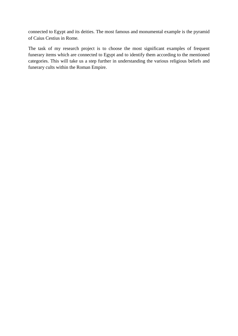connected to Egypt and its deities. The most famous and monumental example is the pyramid of Caius Cestius in Rome.

The task of my research project is to choose the most significant examples of frequent funerary items which are connected to Egypt and to identify them according to the mentioned categories. This will take us a step further in understanding the various religious beliefs and funerary cults within the Roman Empire.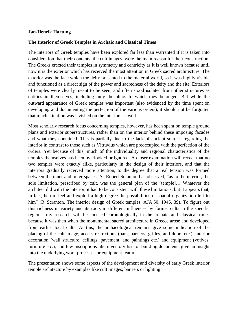#### **Jan-Henrik Hartung**

#### **The Interior of Greek Temples in Archaic and Classical Times**

The interiors of Greek temples have been explored far less than warranted if it is taken into consideration that their contents, the cult images, were the main reason for their construction. The Greeks erected their temples in symmetry and centricity as it is well known because until now it is the exterior which has received the most attention in Greek sacred architecture. The exterior was the face which the deity presented to the material world, so it was highly visible and functioned as a direct sign of the power and sacredness of the deity and the site. Exteriors of temples were clearly meant to be seen, and often stood isolated from other structures as entities in themselves, including only the altars to which they belonged. But while the outward appearance of Greek temples was important (also evidenced by the time spent on developing and documenting the perfection of the various orders), it should not be forgotten that much attention was lavished on the interiors as well.

Most scholarly research focus concerning temples, however, has been spent on temple ground plans and exterior superstructures, rather than on the interior behind these imposing facades and what they contained. This is partially due to the lack of ancient sources regarding the interior in contrast to those such as Vitruvius which are preoccupied with the perfection of the orders. Yet because of this, much of the individuality and regional characteristics of the temples themselves has been overlooked or ignored. A closer examination will reveal that no two temples were exactly alike, particularly in the design of their interiors, and that the interiors gradually received more attention, to the degree that a real tension was formed between the inner and outer spaces. As Robert Scranton has observed, "as to the interior, the sole limitation, prescribed by cult, was the general plan of the [temple]… Whatever the architect did with the interior, it had to be consistent with these limitations, but it appears that, in fact, he did feel and exploit a high degree the possibilities of spatial organization left to him" (R. Scranton, The interior design of Greek temples, AJA 50, 1946, 39). To figure out this richness in variety and its roots in different influences by former cults in the specific regions, my research will be focused chronologically in the archaic and classical times because it was then when the monumental sacred architecture in Greece arose and developed from earlier local cults. At this, the archaeological remains give some indication of the placing of the cult image, access restrictions (bars, barriers, grilles, and doors etc.), interior decoration (wall structure, ceilings, pavement, and paintings etc.) and equipment (votives, furniture etc.), and few inscriptions like inventory lists or building documents give an insight into the underlying work processes or equipment features.

The presentation shows some aspects of the development and diversity of early Greek interior temple architecture by examples like cult images, barriers or lighting.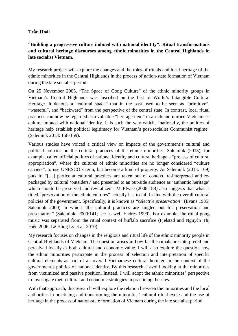## **Trần Hoài**

## **"Building a progressive culture imbued with national identity": Ritual transformations and cultural heritage discourses among ethnic minorities in the Central Highlands in late socialist Vietnam.**

My research project will explore the changes and the roles of rituals and local heritage of the ethnic minorities in the Central Highlands in the process of nation-state formation of Vietnam during the late socialist period.

On 25 November 2005, "The Space of Gong Culture" of the ethnic minority groups in Vietnam's Central Highlands was inscribed on the List of World's Intangible Cultural Heritage. It denotes a "cultural space" that in the past used to be seen as "primitive". "wasteful", and "backward" from the perspective of the central state. In contrast, local ritual practices can now be regarded as a valuable "heritage item" in a rich and unified Vietnamese culture imbued with national identity. It is such the way which, "nationally, the politics of heritage help establish political legitimacy for Vietnam's post-socialist Communist regime" (Salemink 2013: 158-159).

Various studies have voiced a critical view on impacts of the government's cultural and political policies on the cultural practices of the ethnic minorities. Salemink (2013), for example, called official politics of national identity and cultural heritage a "process of cultural appropriation", where the cultures of ethnic minorities are no longer considered "culture carriers", to use UNESCO's term, but become a kind of property. As Salemink (2013: 169) puts it: "[…] particular cultural practices are taken out of context, re-interpreted and repackaged by cultural 'outsiders,' and presented to an out-side audience as 'authentic heritage' which should be preserved and revitalized". McElwee (2008:188) also suggests that what is titled "preservation of the ethnic cultures" actually has to fall in line with the overall cultural policies of the government. Specifically, it is known as "*selective preservation"* (Evans 1985; Salemink 2000) in which "the cultural practices are singled out for preservation and presentation" (Salemink: 2000:141; see as well Endres 1999). For example, the ritual gong music was separated from the ritual context of buffalo sacrifice (Fjelstad and Nguyễn Thị Hiền 2006; Lê Hồng Lý et al. 2010).

My research focuses on changes in the religious and ritual life of the ethnic minority people in Central Highlands of Vietnam. The question arises in how far the rituals are interpreted and perceived locally as both cultural and economic value. I will also explore the question how the ethnic minorities participate in the process of selection and interpretation of specific cultural elements as part of an overall Vietnamese cultural heritage in the context of the government's politics of national identity. By this research, I avoid looking at the minorities from victimized and passive position. Instead, I will adopt the ethnic minorities' perspective to investigate their cultural and economic strategies in practicing the rites.

With that approach, this research will explore the relation between the minorities and the local authorities in practicing and transforming the minorities' cultural ritual cycle and the use of heritage in the process of nation-state formation of Vietnam during the late socialist period.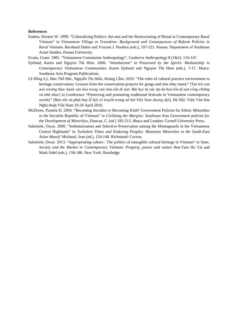#### **References**

- Endres, Kirsten W. 1999. "Culturalizing Politics: doi moi and the Restructuring of Ritual in Contemporary Rural Vietnam" in *Vietnamese Village in Transition: Background and Consequences of Reform Policies in Rural Vietnam*. Bernhard Dahm and Vincent J. Houben (eds.), 197-221. Passau: Department of Southeast Asian Studies, Passau University.
- Evans, Grant. 1985. "Vietnamese Communist Anthropology", *Canberra Anthropology* 8 (1&2): 116-147.
- Fjelstad, Karen and Nguyen Thi Hien. 2006. "Introduction" in *Possessed by the Spirits: Mediumship in Contemporary Vietnamese Communities*. Karen Fjelstad and Nguyen Thi Hien (eds.), 7-17. Ithaca: Southeast Asia Program Publications.
- Lê Hồng Lý, Đào Thế Đức, Nguyễn Thị Hiền, Hoàng Cầm. 2010. "The roles of cultural practice environment in heritage conservation: Lessons from the conservation projects for gongs and *nha nhac* music" [*Vai trò của*  môi trường thực hành văn hóa trong việc bảo tồn di sản: Bài học từ các dự án bảo tồn di sản cồng chiêng *và nhã nhạc*] in Conference "Preserving and promoting traditional festivals in Vietnamese contemporary society" [*Bảo tồn và phát huy lễ hội cổ truyền trong xã hội Việt Nam đương đại*], Hà Nội: Viện Văn hóa Nghệ thuật Việt Nam 19-20 April 2010.
- McElwee, Pamela D. 2004. "Becoming Socialist or Becoming Kinh? Government Policies for Ethnic Minorities in the Socialist Republic of Vietnam" in *Civilizing the Margins: Southeast Asia Government policies for the Development of Minorities*, Duncan, C. (ed.) 182-213. Ithaca and London: Cornell University Press.
- Salemink, Oscar. 2000. "Sedentarization and Selective Preservation among the Montagnards in the Vietnamese Central Highlands" in *Turbulent Times and Enduring Peoples: Mountain Minorities in the South-East Asian Massif*. Michaud, Jean (ed.), 124-148. Richmond: Curzon.
- Salemink, Oscar. 2013. "Appropriating culture : The politics of intangible cultural heritage in Vietnam" in *State, Society and the Market in Contemporary Vietnam: Property, power and values* Hue-Tam Ho Tai and Mark Sidel (eds.), 158-180. New York: Routledge.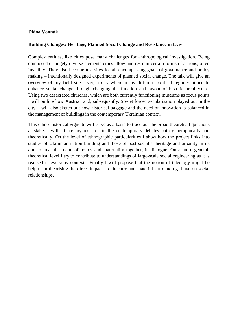#### **Diána Vonnák**

#### **Building Changes: Heritage, Planned Social Change and Resistance in Lviv**

Complex entities, like cities pose many challenges for anthropological investigation. Being composed of hugely diverse elements cities allow and restrain certain forms of actions, often invisibly. They also become test sites for all-encompassing goals of governance and policy making – intentionally designed experiments of planned social change. The talk will give an overview of my field site, Lviv, a city where many different political regimes aimed to enhance social change through changing the function and layout of historic architecture. Using two desecrated churches, which are both currently functioning museums as focus points I will outline how Austrian and, subsequently, Soviet forced secularisation played out in the city. I will also sketch out how historical baggage and the need of innovation is balanced in the management of buildings in the contemporary Ukrainian context.

This ethno-historical vignette will serve as a basis to trace out the broad theoretical questions at stake. I will situate my research in the contemporary debates both geographically and theoretically. On the level of ethnographic particularities I show how the project links into studies of Ukrainian nation building and those of post-socialist heritage and urbanity in its aim to treat the realm of policy and materiality together, in dialogue. On a more general, theoretical level I try to contribute to understandings of large-scale social engineering as it is realised in everyday contexts. Finally I will propose that the notion of teleology might be helpful in theorising the direct impact architecture and material surroundings have on social relationships.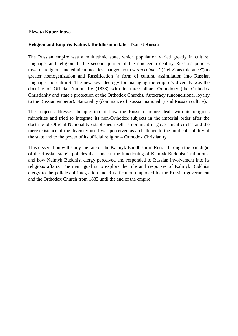#### **Elzyata Kuberlinova**

#### **Religion and Empire: Kalmyk Buddhism in later Tsarist Russia**

The Russian empire was a multiethnic state, which population varied greatly in culture, language, and religion. In the second quarter of the nineteenth century Russia's policies towards religious and ethnic minorities changed from *veroterpimost*' ("religious tolerance") to greater homogenization and Russification (a form of cultural assimilation into Russian language and culture). The new key ideology for managing the empire's diversity was the doctrine of Official Nationality (1833) with its three pillars Orthodoxy (the Orthodox Christianity and state's protection of the Orthodox Church), Autocracy (unconditional loyalty to the Russian emperor), Nationality (dominance of Russian nationality and Russian culture).

The project addresses the question of how the Russian empire dealt with its religious minorities and tried to integrate its non-Orthodox subjects in the imperial order after the doctrine of Official Nationality established itself as dominant in government circles and the mere existence of the diversity itself was perceived as a challenge to the political stability of the state and to the power of its official religion – Orthodox Christianity.

This dissertation will study the fate of the Kalmyk Buddhism in Russia through the paradigm of the Russian state's policies that concern the functioning of Kalmyk Buddhist institutions, and how Kalmyk Buddhist clergy perceived and responded to Russian involvement into its religious affairs. The main goal is to explore the role and responses of Kalmyk Buddhist clergy to the policies of integration and Russification employed by the Russian government and the Orthodox Church from 1833 until the end of the empire.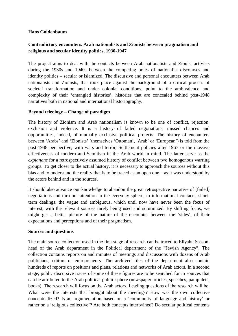#### **Hans Goldenbaum**

## **Contradictory encounters. Arab nationalists and Zionists between pragmatism and religious and secular identity politics, 1930-1947**

The project aims to deal with the contacts between Arab nationalists and Zionist activists during the 1930s and 1940s between the competing poles of nationalist discourses and identity politics – secular or islamized. The discursive and personal encounters between Arab nationalists and Zionists, that took place against the background of a critical process of societal transformation and under colonial conditions, point to the ambivalence and complexity of their 'entangled histories', histories that are concealed behind post-1948 narratives both in national and international historiography.

### **Beyond teleology – Change of paradigm**

The history of Zionism and Arab nationalism is known to be one of conflict, rejection, exclusion and violence. It is a history of failed negotiations, missed chances and opportunities, indeed, of mutually exclusive political projects. The history of encounters between 'Arabs' and 'Zionists' (themselves 'Ottoman', 'Arab' or 'European') is told from the post-1948 perspective, with wars and terror, Settlement policies after 1967 or the massive effectiveness of modern anti-Semitism in the Arab world in mind. The latter serve as the *explanans* for a retrospectively assumed history of conflict between two homogenous warring groups. To get closer to the actual history, it is necessary to approach the sources without this bias and to understand the reality that is to be traced as an open one – as it was understood by the actors behind and in the sources.

It should also advance our knowledge to abandon the great retrospective narrative of (failed) negotiations and turn our attention to the everyday sphere, to informational contacts, shortterm dealings, the vague and ambiguous, which until now have never been the focus of interest, with the relevant sources rarely being used and scrutinized. By shifting focus, we might get a better picture of the nature of the encounter between the 'sides', of their expectations and perceptions and of their pragmatism.

#### **Sources and questions**

The main source collection used in the first stage of research can be traced to Eliyahu Sasson, head of the Arab department in the Political department of the "Jewish Agency". The collection contains reports on and minutes of meetings and discussions with dozens of Arab politicians, editors or entrepreneurs. The archived files of the department also contain hundreds of reports on positions and plans, relations and networks of Arab actors. In a second stage, public discursive traces of some of these figures are to be searched for in sources that can be attributed to the Arab political public sphere (newspaper articles, speeches, pamphlets, books). The research will focus on the Arab actors. Leading questions of the research will be: What were the interests that brought about the meetings? How was the own collective conceptualized? Is an argumentation based on a 'community of language and history' or rather on a 'religious collective'? Are both concepts intertwined? Do secular political contents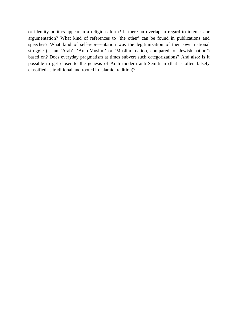or identity politics appear in a religious form? Is there an overlap in regard to interests or argumentation? What kind of references to 'the other' can be found in publications and speeches? What kind of self-representation was the legitimization of their own national struggle (as an 'Arab', 'Arab-Muslim' or 'Muslim' nation, compared to 'Jewish nation') based on? Does everyday pragmatism at times subvert such categorizations? And also: Is it possible to get closer to the genesis of Arab modern anti-Semitism (that is often falsely classified as traditional and rooted in Islamic tradition)?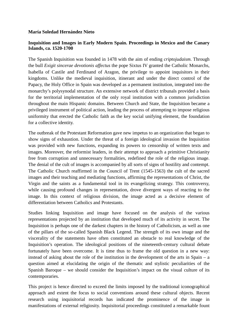#### **María Soledad Hernández Nieto**

### **Inquisition and Images in Early Modern Spain. Proceedings in Mexico and the Canary Islands, ca. 1520-1700**

The Spanish Inquisition was founded in 1478 with the aim of ending *criptojudaism*. Through the bull *Exigit sincerae devotionis affectus* the pope Sixtus IV granted the Catholic Monarchs, Isabella of Castile and Ferdinand of Aragon, the privilege to appoint inquisitors in their kingdoms. Unlike the medieval inquisition, itinerant and under the direct control of the Papacy, the Holy Office in Spain was developed as a permanent institution, integrated into the monarchy's polysynodal structure. An extensive network of district tribunals provided a basis for the territorial implementation of the only royal institution with a common jurisdiction throughout the main Hispanic domains. Between Church and State, the Inquisition became a privileged instrument of political action, leading the process of attempting to impose religious uniformity that erected the Catholic faith as the key social unifying element, the foundation for a collective identity.

The outbreak of the Protestant Reformation gave new impetus to an organization that began to show signs of exhaustion. Under the threat of a foreign ideological invasion the Inquisition was provided with new functions, expanding its powers to censorship of written texts and images. Moreover, the reformist leaders, in their attempt to approach a primitive Christianity free from corruption and unnecessary formalities, redefined the role of the religious image. The denial of the cult of images is accompanied by all sorts of signs of hostility and contempt. The Catholic Church reaffirmed in the Council of Trent (1545-1563) the cult of the sacred images and their teaching and mediating functions, affirming the representations of Christ, the Virgin and the saints as a fundamental tool in its evangelizing strategy. This controversy, while causing profound changes in representation, drove divergent ways of reacting to the image. In this context of religious division, the image acted as a decisive element of differentiation between Catholics and Protestants.

Studies linking Inquisition and image have focused on the analysis of the various representations projected by an institution that developed much of its activity in secret. The Inquisition is perhaps one of the darkest chapters in the history of Catholicism, as well as one of the pillars of the so-called Spanish Black Legend. The strength of its own image and the viscerality of the statements have often constituted an obstacle to real knowledge of the Inquisition's operation. The ideological positions of the nineteenth-century cultural debate fortunately have been overcome. It is time thus to frame the old question in a new way: instead of asking about the role of the institution in the development of the arts in Spain – a question aimed at elucidating the origin of the thematic and stylistic peculiarities of the Spanish Baroque – we should consider the Inquisition's impact on the visual culture of its contemporaries.

This project is hence directed to exceed the limits imposed by the traditional iconographical approach and extent the focus to social conventions around these cultural objects. Recent research using inquisitorial records has indicated the prominence of the image in manifestations of external religiosity. Inquisitorial proceedings constituted a remarkable fount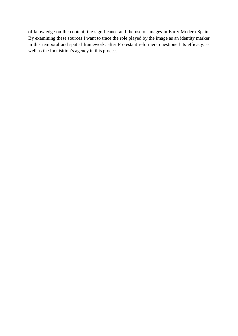of knowledge on the content, the significance and the use of images in Early Modern Spain. By examining these sources I want to trace the role played by the image as an identity marker in this temporal and spatial framework, after Protestant reformers questioned its efficacy, as well as the Inquisition's agency in this process.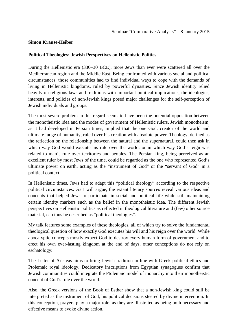#### **Simon Krause-Heiber**

#### **Political Theologies: Jewish Perspectives on Hellenistic Politics**

During the Hellenistic era (330–30 BCE), more Jews than ever were scattered all over the Mediterranean region and the Middle East. Being confronted with various social and political circumstances, those communities had to find individual ways to cope with the demands of living in Hellenistic kingdoms, ruled by powerful dynasties. Since Jewish identity relied heavily on religious laws and traditions with important political implications, the ideologies, interests, and policies of non-Jewish kings posed major challenges for the self-perception of Jewish individuals and groups.

The most severe problem in this regard seems to have been the potential opposition between the monotheistic idea and the modes of government of Hellenistic rulers. Jewish monotheism, as it had developed in Persian times, implied that the one God, creator of the world and ultimate judge of humanity, ruled over his creation with absolute power. Theology, defined as the reflection on the relationship between the natural and the supernatural, could then ask in which way God would execute his rule over the world, or in which way God's reign was related to man's rule over territories and peoples. The Persian king, being perceived as an excellent ruler by most Jews of the time, could be regarded as the one who represented God's ultimate power on earth, acting as the "instrument of God" or the "servant of God" in a political context.

In Hellenistic times, Jews had to adapt this "political theology" according to the respective political circumstances: As I will argue, the extant literary sources reveal various ideas and concepts that helped Jews to participate in social and political life while still maintaining certain identity markers such as the belief in the monotheistic idea. The different Jewish perspectives on Hellenistic politics as reflected in theological literature and (few) other source material, can thus be described as "political theologies".

My talk features some examples of these theologies, all of which try to solve the fundamental theological question of how exactly God executes his will and his reign over the world. While apocalyptic concepts mostly expect God to destroy every human form of government and to erect his own ever-lasting kingdom at the end of days, other conceptions do not rely on eschatology:

The Letter of Aristeas aims to bring Jewish tradition in line with Greek political ethics and Ptolemaic royal ideology. Dedicatory inscriptions from Egyptian synagogues confirm that Jewish communities could integrate the Ptolemaic model of monarchy into their monotheistic concept of God's rule over the world.

Also, the Greek versions of the Book of Esther show that a non-Jewish king could still be interpreted as the instrument of God, his political decisions steered by divine intervention. In this conception, prayers play a major role, as they are illustrated as being both necessary and effective means to evoke divine action.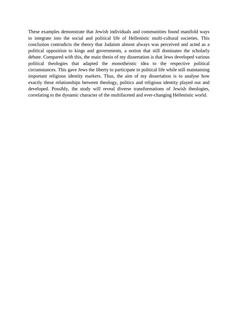These examples demonstrate that Jewish individuals and communities found manifold ways to integrate into the social and political life of Hellenistic multi-cultural societies. This conclusion contradicts the theory that Judaism almost always was perceived and acted as a political opposition to kings and governments, a notion that still dominates the scholarly debate. Compared with this, the main thesis of my dissertation is that Jews developed various political theologies that adapted the monotheistic idea to the respective political circumstances. This gave Jews the liberty to participate in political life while still maintaining important religious identity markers. Thus, the aim of my dissertation is to analyse how exactly these relationships between theology, politics and religious identity played out and developed. Possibly, the study will reveal diverse transformations of Jewish theologies, correlating to the dynamic character of the multifaceted and ever-changing Hellenistic world.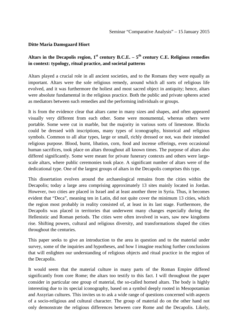#### **Ditte Maria Damsgaard Hiort**

## Altars in the Decapolis region,  $1^{st}$  century B.C.E. –  $5^{th}$  century C.E. Religious remedies **in context: typology, ritual practice, and societal patterns**

Altars played a crucial role in all ancient societies, and to the Romans they were equally as important. Altars were the sole religious remedy, around which all sorts of religious life evolved, and it was furthermore the holiest and most sacred object in antiquity; hence, altars were absolute fundamental in the religious practice. Both the public and private spheres acted as mediators between such remedies and the performing individuals or groups.

It is from the evidence clear that altars came in many sizes and shapes, and often appeared visually very different from each other. Some were monumental, whereas others were portable. Some were cut in marble, but the majority in various sorts of limestone. Blocks could be dressed with inscriptions, many types of iconography, historical and religious symbols. Common to all altar types, large or small, richly dressed or not, was their intended religious purpose. Blood, burnt, libation, corn, food and incense offerings, even occasional human sacrifices, took place on altars throughout all known times. The purpose of altars also differed significantly. Some were meant for private funerary contexts and others were largescale altars, where public ceremonies took place. A significant number of altars were of the dedicational type. One of the largest groups of altars in the Decapolis comprises this type.

This dissertation evolves around the archaeological remains from the cities within the Decapolis; today a large area comprising approximately 13 sites mainly located in Jordan. However, two cities are placed in Israel and at least another three in Syria. Thus, it becomes evident that "Deca", meaning ten in Latin, did not quite cover the minimum 13 cities, which the region most probably in reality consisted of, at least in its last stage. Furthermore, the Decapolis was placed in territories that underwent many changes especially during the Hellenistic and Roman periods. The cities were often involved in wars, saw new kingdoms rise. Shifting powers, cultural and religious diversity, and transformations shaped the cities throughout the centuries.

This paper seeks to give an introduction to the area in question and to the material under survey, some of the inquiries and hypotheses, and how I imagine reaching further conclusions that will enlighten our understanding of religious objects and ritual practice in the region of the Decapolis.

It would seem that the material culture in many parts of the Roman Empire differed significantly from core Rome; the altars too testify to this fact. I will throughout the paper consider in particular one group of material, the so-called horned altars. The body is highly interesting due to its special iconography, based on a symbol deeply rooted in Mesopotamian and Assyrian cultures. This invites us to ask a wide range of questions concerned with aspects of a socio-religious and cultural character. The group of material do on the other hand not only demonstrate the religious differences between core Rome and the Decapolis. Likely,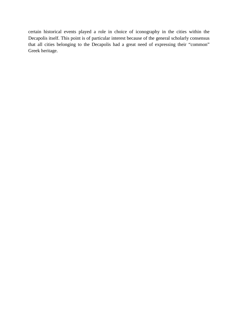certain historical events played a role in choice of iconography in the cities within the Decapolis itself. This point is of particular interest because of the general scholarly consensus that all cities belonging to the Decapolis had a great need of expressing their "common" Greek heritage.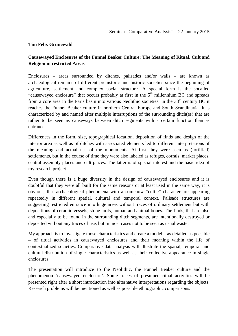#### **Tim Felix Grünewald**

## **Causewayed Enclosures of the Funnel Beaker Culture: The Meaning of Ritual, Cult and Religion in restricted Areas**

Enclosures – areas surrounded by ditches, palisades and/or walls – are known as archaeological remains of different prehistoric and historic societies since the beginning of agriculture, settlement and complex social structure. A special form is the socalled "causewayed enclosure" that occurs probably at first in the  $5<sup>th</sup>$  millennium BC and spreads from a core area in the Paris basin into various Neolithic societies. In the  $38<sup>th</sup>$  century BC it reaches the Funnel Beaker culture in northern Central Europe and South Scandinavia. It is characterized by and named after multiple interruptions of the surrounding ditch(es) that are rather to be seen as causeways between ditch segments with a certain function than as entrances.

Differences in the form, size, topographical location, deposition of finds and design of the interior area as well as of ditches with associated elements led to different interpretations of the meaning and actual use of the monuments. At first they were seen as (fortified) settlements, but in the course of time they were also labeled as refuges, corrals, market places, central assembly places and cult places. The latter is of special interest and the basic idea of my research project.

Even though there is a huge diversity in the design of causewayed enclosures and it is doubtful that they were all built for the same reasons or at least used in the same way, it is obvious, that archaeological phenomena with a somehow "cultic" character are appearing repeatedly in different spatial, cultural and temporal context. Palisade structures are suggesting restricted entrance into huge areas without traces of ordinary settlement but with depositions of ceramic vessels, stone tools, human and animal bones. The finds, that are also and especially to be found in the surrounding ditch segments, are intentionally destroyed or deposited without any traces of use, but in most cases not to be seen as usual waste.

My approach is to investigate those characteristics and create a model – as detailed as possible – of ritual activities in causewayed enclosures and their meaning within the life of contextualized societies. Comparative data analysis will illustrate the spatial, temporal and cultural distribution of single characteristics as well as their collective appearance in single enclosures.

The presentation will introduce to the Neolithic, the Funnel Beaker culture and the phenomenon 'causewayed enclosure'. Some traces of presumed ritual activities will be presented right after a short introduction into alternative interpretations regarding the objects. Research problems will be mentioned as well as possible ethnographic comparisons.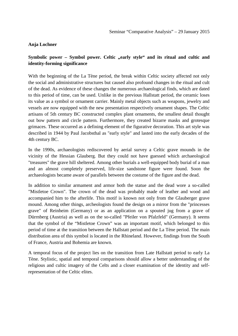### **Anja Lochner**

## **Symbolic power – Symbol power. Celtic "early style" and its ritual and cultic and identity-forming significance**

With the beginning of the La Tène period, the break within Celtic society affected not only the social and administrative structures but caused also profound changes in the ritual and cult of the dead. As evidence of these changes the numerous archaeological finds, which are dated to this period of time, can be used. Unlike in the previous Hallstatt period, the ceramic loses its value as a symbol or ornament carrier. Mainly metal objects such as weapons, jewelry and vessels are now equipped with the new presentation respectively ornament shapes. The Celtic artisans of 5th century BC constructed complex plant ornaments, the smallest detail thought out bow pattern and circle pattern. Furthermore, they created bizarre masks and grotesque grimaces. These occurred as a defining element of the figurative decoration. This art style was described in 1944 by Paul Jacobsthal as "early style" and lasted into the early decades of the 4th century BC.

In the 1990s, archaeologists rediscovered by aerial survey a Celtic grave mounds in the vicinity of the Hessian Glauberg. But they could not have guessed which archaeological "treasures" the grave hill sheltered. Among other burials a well-equipped body burial of a man and an almost completely preserved, life-size sandstone figure were found. Soon the archaeologists became aware of parallels between the costume of the figure and the dead.

In addition to similar armament and armor both the statue and the dead wore a so-called "Mistletoe Crown". The crown of the dead was probably made of leather and wood and accompanied him to the afterlife. This motif is known not only from the Glauberger grave mound. Among other things, archeologists found the design on a mirror from the "princesses grave" of Reinheim (Germany) or as an application on a spouted jug from a grave of Dürrnberg (Austria) as well as on the so-called "Pfeiler von Pfalzfeld" (Germany). It seems that the symbol of the "Mistletoe Crown" was an important motif, which belonged to this period of time at the transition between the Hallstatt period and the La Tène period. The main distribution area of this symbol is located in the Rhineland. However, findings from the South of France, Austria and Bohemia are known.

A temporal focus of the project lies on the transition from Late Hallstatt period to early La Tène. Stylistic, spatial and temporal comparisons should allow a better understanding of the religious and cultic imagery of the Celts and a closer examination of the identity and selfrepresentation of the Celtic elites.